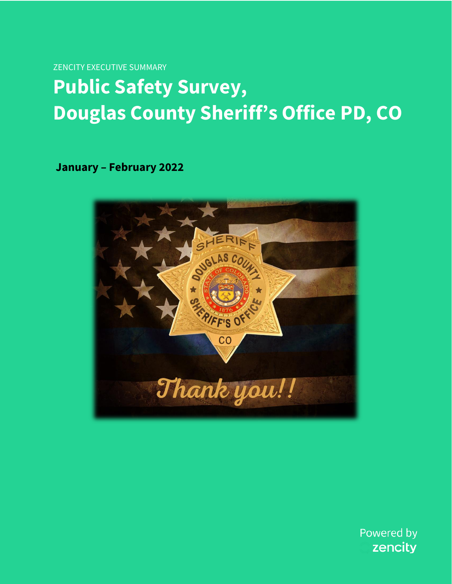**ZENCITY EXECUTIVE SUMMARY** 

## **Public Safety Survey, Douglas County Sheriff's Office PD, CO**

**January - February 2022** 



Powered by zencity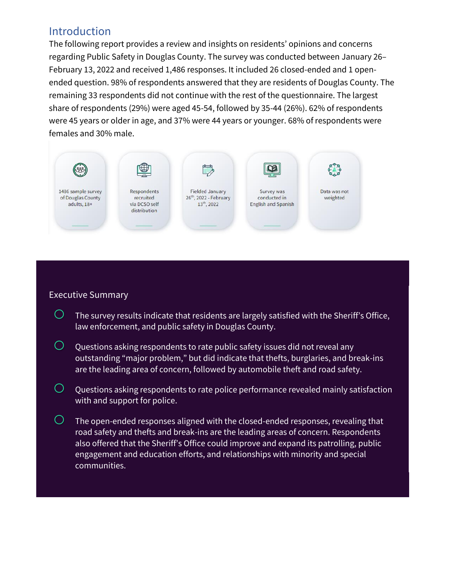### Introduction

The following report provides a review and insights on residents' opinions and concerns regarding Public Safety in Douglas County. The survey was conducted between January 26– February 13, 2022 and received 1,486 responses. It included 26 closed-ended and 1 openended question. 98% of respondents answered that they are residents of Douglas County. The remaining 33 respondents did not continue with the rest of the questionnaire. The largest share of respondents (29%) were aged 45-54, followed by 35-44 (26%). 62% of respondents were 45 years or older in age, and 37% were 44 years or younger. 68% of respondents were females and 30% male.



#### Executive Summary

- $\bigcirc$  The survey results indicate that residents are largely satisfied with the Sheriff's Office, law enforcement, and public safety in Douglas County.
- $\bigcirc$  Questions asking respondents to rate public safety issues did not reveal any outstanding "major problem," but did indicate that thefts, burglaries, and break-ins are the leading area of concern, followed by automobile theft and road safety.
- $\bigcirc$  Questions asking respondents to rate police performance revealed mainly satisfaction with and support for police.
- $\overline{\circ}$  The open-ended responses aligned with the closed-ended responses, revealing that road safety and thefts and break-ins are the leading areas of concern. Respondents also offered that the Sheriff's Office could improve and expand its patrolling, public engagement and education efforts, and relationships with minority and special communities.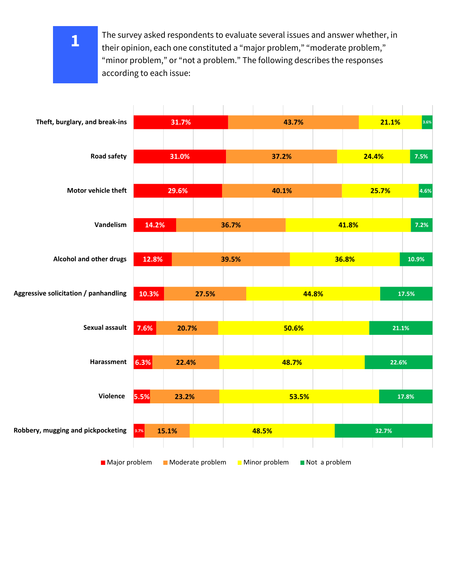The survey asked respondents to evaluate several issues and answer whether, in their opinion, each one constituted a "major problem," "moderate problem," "minor problem," or "not a problem." The following describes the responses according to each issue:



**1**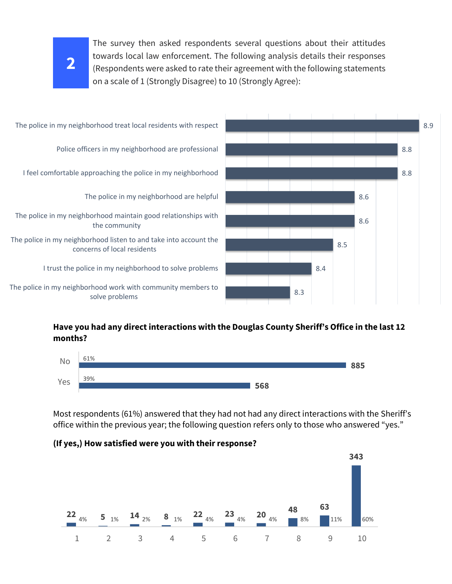# **2**

The survey then asked respondents several questions about their attitudes towards local law enforcement. The following analysis details their responses (Respondents were asked to rate their agreement with the following statements on a scale of 1 (Strongly Disagree) to 10 (Strongly Agree):



#### **Have you had any direct interactions with the Douglas County Sheriff's Office in the last 12 months?**



Most respondents (61%) answered that they had not had any direct interactions with the Sheriff's office within the previous year; the following question refers only to those who answered "yes."



#### **(If yes,) How satisfied were you with their response?**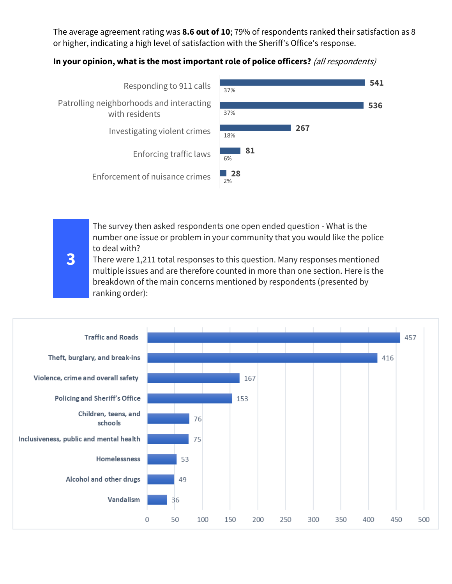The average agreement rating was **8.6 out of 10**; 79% of respondents ranked their satisfaction as 8 or higher, indicating a high level of satisfaction with the Sheriff's Office's response.

#### **In your opinion, what is the most important role of police officers?** (all respondents)



The survey then asked respondents one open ended question - What is the number one issue or problem in your community that you would like the police to deal with?

There were [1,211 total responses](https://app.zencity.io/admin/projects/620d30b9ed4c39578eff5b6f?dateRange=20220212-20220215) to this question. Many responses mentioned multiple issues and are therefore counted in more than one section. Here is the breakdown of the main concerns mentioned by respondents (presented by ranking order):

**3**